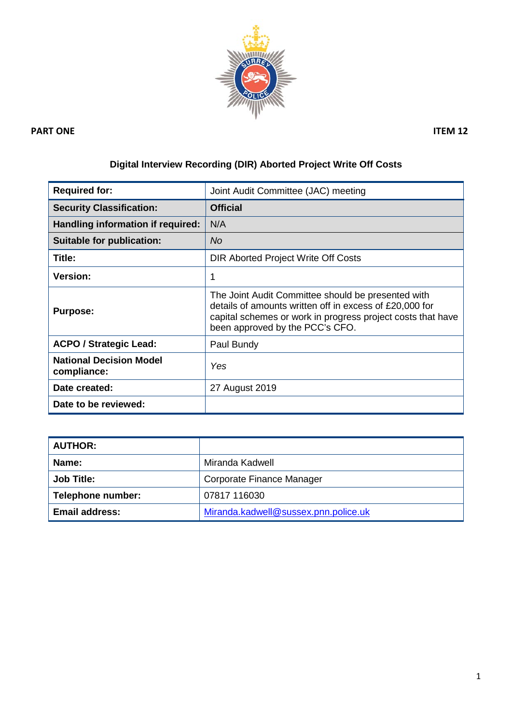

### **PART ONE** ITEM 12

# **Digital Interview Recording (DIR) Aborted Project Write Off Costs**

| <b>Required for:</b>                          | Joint Audit Committee (JAC) meeting                                                                                                                                                                             |  |
|-----------------------------------------------|-----------------------------------------------------------------------------------------------------------------------------------------------------------------------------------------------------------------|--|
| <b>Security Classification:</b>               | <b>Official</b>                                                                                                                                                                                                 |  |
| Handling information if required:             | N/A                                                                                                                                                                                                             |  |
| Suitable for publication:                     | No                                                                                                                                                                                                              |  |
| Title:                                        | DIR Aborted Project Write Off Costs                                                                                                                                                                             |  |
| <b>Version:</b>                               | 1                                                                                                                                                                                                               |  |
| <b>Purpose:</b>                               | The Joint Audit Committee should be presented with<br>details of amounts written off in excess of £20,000 for<br>capital schemes or work in progress project costs that have<br>been approved by the PCC's CFO. |  |
| <b>ACPO / Strategic Lead:</b>                 | Paul Bundy                                                                                                                                                                                                      |  |
| <b>National Decision Model</b><br>compliance: | Yes                                                                                                                                                                                                             |  |
| Date created:                                 | 27 August 2019                                                                                                                                                                                                  |  |
| Date to be reviewed:                          |                                                                                                                                                                                                                 |  |

| <b>AUTHOR:</b>        |                                      |
|-----------------------|--------------------------------------|
| Name:                 | Miranda Kadwell                      |
| <b>Job Title:</b>     | Corporate Finance Manager            |
| Telephone number:     | 07817 116030                         |
| <b>Email address:</b> | Miranda.kadwell@sussex.pnn.police.uk |